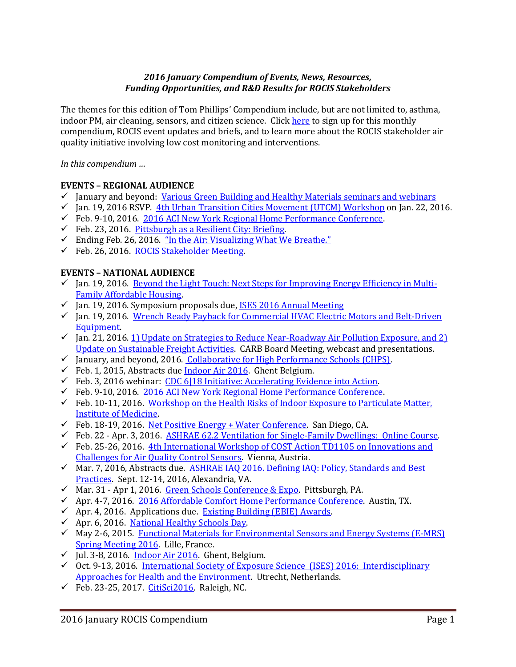# *2016 January Compendium of Events, News, Resources, Funding Opportunities, and R&D Results for ROCIS Stakeholders*

The themes for this edition of Tom Phillips' Compendium include, but are not limited to, asthma, indoor PM, air cleaning, sensors, and citizen science. Clic[k here](http://www.rocis.org/rocis-sign) to sign up for this monthly compendium, ROCIS event updates and briefs, and to learn more about the ROCIS stakeholder air quality initiative involving low cost monitoring and interventions.

*In this compendium …* 

## **EVENTS – REGIONAL AUDIENCE**

- $\checkmark$  January and beyond: [Various Green Building and Healthy Materials seminars and webinars](https://www.go-gba.org/events/2016-01/)
- $\checkmark$  Jan. 19, 2016 RSVP. [4th Urban Transition Cities Movement \(UTCM\) Workshop](https://www.go-gba.org/events/4th-urban-transition-cities-movement-utcm-workshop/) on Jan. 22, 2016.
- Feb. 9-10, 2016. [2016 ACI New York Regional Home Performance Conference.](http://www.homeperformance.org/conference/2016-aci-new-york-regional-home-performance-conference)
- $\checkmark$  Feb. 23, 2016. [Pittsburgh as a Resilient City: Briefing.](https://www.go-gba.org/events/breakfast-briefing-pittsburgh-as-a-resilient-city/)
- $\checkmark$  Ending Feb. 26, 2016. "In the A[ir: Visualizing What We Breathe.](http://filmmakers.pfpca.org/exhibitions/air-visualizing-what-we-breathe)"
- $\checkmark$  Feb. 26, 2016. [ROCIS Stakeholder Meeting.](http://rocis.org/)

## **EVENTS – NATIONAL AUDIENCE**

- $\checkmark$  Jan. 19, 2016. [Beyond the Light Touch: Next Steps for Improving Energy Efficiency in Multi-](http://www3.epa.gov/statelocalclimate/web-podcasts/forum-by-date.html)[Family Affordable Housing.](http://www3.epa.gov/statelocalclimate/web-podcasts/forum-by-date.html)
- $\checkmark$  Jan. 19, 2016. Symposium proposals due, [ISES 2016 Annual Meeting](http://ises2016.org/)
- Jan. 19, 2016. [Wrench Ready Payback for Commercial HVAC Electric Motors and Belt-Driven](https://vts.inxpo.com/scripts/Server.nxp?LASCmd=AI:4;F:QS!10100&ShowKey=28988&AffiliateData=email3)  [Equipment.](https://vts.inxpo.com/scripts/Server.nxp?LASCmd=AI:4;F:QS!10100&ShowKey=28988&AffiliateData=email3)
- $\checkmark$  Jan. 21, 2016. 1) Update on Strategies to Reduce Near-Roadway Air Pollution Exposure, and 2) [Update on Sustainable Freight Activities.](http://www.arb.ca.gov/board/ma/2016/ma012116.pdf) CARB Board Meeting, webcast and presentations.
- $\checkmark$  January, and beyond, 2016. Collaborative for High Performance Schools (CHPS).
- $\checkmark$  Feb. 1, 2015, Abstracts du[e Indoor Air 2016.](http://www.indoorair2016.org/) Ghent Belgium.
- Feb. 3, 2016 webinar:  $CDC$  6|18 Initiative: Accelerating Evidence into Action.
- $\checkmark$  Feb. 9-10, 2016. [2016 ACI New York Regional Home Performance Conference.](http://www.homeperformance.org/conference/2016-aci-new-york-regional-home-performance-conference)
- Feb. 10-11, 2016. Workshop on the Health Risks of Indoor Exposure to Particulate Matter, [Institute of Medicine.](http://iom.nationalacademies.org/Activities/PublicHealth/Health-Risks-Indoor-Exposure-ParticulateMatter.aspx)
- $\checkmark$  Feb. 18-19, 2016. [Net Positive Energy + Water Conference.](http://living-future.us3.list-manage1.com/track/click?u=ae827ccb1dcf00c9de58fdb81&id=df912089ce&e=194d961907) San Diego, CA.
- Feb. 22 Apr. 3, 2016. [ASHRAE 62.2 Ventilation for Single-Family Dwellings: Online Course.](https://www.heatspring.com/courses/ashrae-62-2-ventilation-for-single-family-dwellings?aff_id=t2lyyg)
- Feb. 25-26, 2016.  $4$ th International Workshop of COST Action TD1105 on Innovations and [Challenges for Air Quality Control Sensors.](http://www.eunetair.it/cost/documents/paginanews.php?idnews=75) Vienna, Austria.
- $\checkmark$  Mar. 7, 2016, Abstracts due. ASHRAE IAQ 2016. Defining IAQ: Policy, Standards and Best [Practices.](https://www.ashrae.org/membership--conferences/conferences/ashrae-conferences/iaq-2016) Sept. 12-14, 2016, Alexandria, VA.
- √ Mar. 31 Apr 1, 2016. [Green Schools Conference & Expo.](http://greenschoolsconference.org/) Pittsburgh, PA.
- Apr. 4-7, 2016. [2016 Affordable Comfort Home Performance Conference.](http://www.homeperformance.org/conference/2016-aci-national-home-performance-conference-trade-show) Austin, TX.
- $\checkmark$  Apr. 4, 2016. Applications due. Existing Building (EBIE) Awards.
- $\checkmark$  Apr. 6, 2016. [National Healthy Schools Day.](https://www.facebook.com/pages/National-Healthy-Schools-Day/50984792299)
- $\checkmark$  May 2-6, 2015. Functional Materials for Environmental Sensors and Energy Systems (E-MRS) [Spring Meeting 2016.](http://www.eunetair.it/cost/newsroom/25-EMRS-2016_SYMPOSIUM-X_FLYER_V3.pdf) Lille, France.
- $\checkmark$  Jul. 3-8, 2016. [Indoor Air 2016.](http://mms.isiaq.org/Calendar/moreinfo.php?eventid=30972) Ghent, Belgium.
- $\checkmark$  Oct. 9-13, 2016. International Society of Exposure Science (ISES) 2016: Interdisciplinary [Approaches for Health and the Environment.](http://ises2016.org/) Utrecht, Netherlands.
- $\checkmark$  Feb. 23-25, 2017. [CitiSci2016.](http://citizenscienceassociation.org/conference/citizen-science-2017/) Raleigh, NC.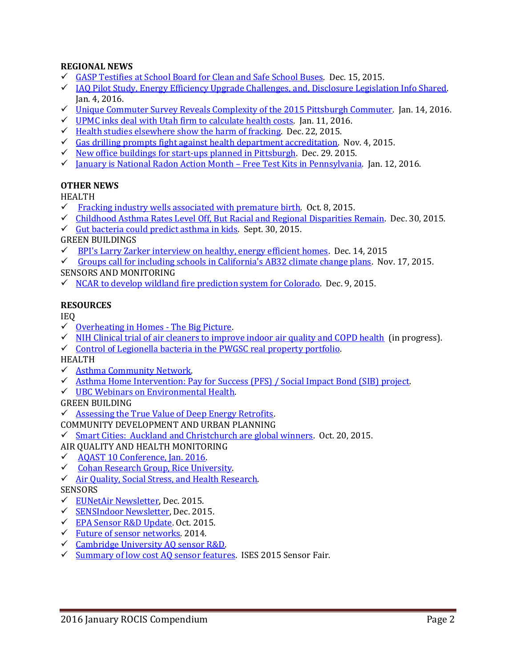# **REGIONAL NEWS**

- $\checkmark$  [GASP Testifies at School Board for Clean and Safe School Buses.](http://gasp-pgh.org/2015/12/15/school-buses-should-be-clean-and-safe/) Dec. 15, 2015.
- $\checkmark$  [IAQ Pilot Study, Energy Efficiency Upgrade Challenges, and, Disclosure Legislation Info Shared.](https://www.go-gba.org/energy-efficiency-upgrade-challenges-disclosure-legislation-and-indoor-air-quality-pilot/) Jan. 4, 2016.
- $\checkmark$  [Unique Commuter Survey Reveals Complexity of the 2015 Pittsburgh Commuter.](https://www.go-gba.org/infographic-make-my-trip-count/) Jan. 14, 2016.
- [UPMC inks deal with Utah firm to calculate health costs.](http://www.post-gazette.com/business/healthcare-business/2016/01/11/UPMC-links-deal-with-Utah-firm-to-calcuate-health-costs/stories/201601110009) Jan. 11, 2016.
- Health studies elsewhere [show the harm of fracking.](http://www.post-gazette.com/opinion/letters/2015/12/22/Health-studies-elsewhere-nbsp-show-the-harm-of-fracking/stories/201512180099)Dec. 22, 2015.
- [Gas drilling prompts fight against health department accreditation.](http://powersource.post-gazette.com/news/environment/2015/11/04/Gas-drilling-prompts-environmentalists-to-fight-health-department-accreditation/stories/201511040092)Nov. 4, 2015.
- $\checkmark$  [New office buildings for start-ups planned in Pittsburgh.](http://www.post-gazette.com/business/development/2015/12/29/New-office-building-style-will-debut-in-Pittsburgh-E-V-Bishoff/stories/201512290058) Dec. 29. 2015.
- √ [January is National Radon Action Month](https://www.facebook.com/SWATPennsylvaniaRadon/?fref=nf)  Free Test Kits in Pennsylvania. Jan. 12, 2016.

## **OTHER NEWS**

HEALTH

- $\checkmark$  [Fracking industry wells associated with premature birth.](http://www.nsf.gov/news/news_summ.jsp?cntn_id=136618&org=NSF&from=news) Oct. 8, 2015.
- [Childhood Asthma Rates Level Off, But Racial and Regional Disparities Remain.](http://www.asthmacommunitynetwork.org/node/16234) Dec. 30, 2015.
- $\checkmark$  [Gut bacteria could predict asthma in kids.](http://www.sciencemag.org/news/2015/09/gut-bacteria-could-predict-asthma-kids) Sept. 30, 2015.

GREEN BUILDINGS

 $\checkmark$  [BPI's Larry Zarker interview on healthy, energy efficient homes.](http://hi.iaq.net/h/i/179900124-healthy-indoors-show-bpis-larry-zarker-interview) Dec. 14, 2015

[Groups call for including schools in California's AB32 climate change plans.](http://www.greenschools.net/article.php?id=527) Nov. 17, 2015.

## SENSORS AND MONITORING

 $\checkmark$  [NCAR to develop wildland fire prediction system for Colorado.](https://www2.ucar.edu/atmosnews/news/18317/ncar-develop-wildland-fire-prediction-system-colorado) Dec. 9, 2015.

## **RESOURCES**

IEQ

- $\checkmark$  [Overheating in Homes -](http://www.building4change.com/article.jsp?id=2665#.VpgCaVJ9TRJ) The Big Picture.
- $\checkmark$  [NIH Clinical trial of air cleaners to improve indoor air quality and COPD health](http://grantome.com/grant/NIH/R01-ES022607-03) (in progress).
- $\checkmark$  Control of Legionella bacteria in the PWGSC real property portfolio.

HEALTH

- [Asthma Community Network.](http://www.asthmacommunitynetwork.org/podcasts)
- [Asthma Home Intervention: Pay for Success \(PFS\) / Social Impact Bond \(SIB\) project.](http://www.greenandhealthyhomes.org/get-help/pay-success)
- [UBC Webinars on Environmental Health.](https://www.youtube.com/user/UBCSPPH1/featured)

GREEN BUILDING

 $\checkmark$  [Assessing the True Value of Deep Energy Retrofits.](http://www.naiop.org/en/Magazine/2015/Winter-2015-2016/Finance/Assessing-the-True-Value-of-Deep-Energy-Retrofits.aspx)

# COMMUNITY DEVELOPMENT AND URBAN PLANNING

- $\checkmark$  [Smart Cities: Auckland and Christchurch are global winners.](https://netguide.co.nz/story/auckland-and-christchurch-global-smart-city-winners/) Oct. 20, 2015.
- AIR QUALITY AND HEALTH MONITORING
- [AQAST 10 Conference, Jan. 2016.](http://acmg.seas.harvard.edu/aqast/meetings/2016_jan/index.html#oral_tue)
- ← Cohan Research Group, Rice University.
- $\checkmark$  Air Quality, Social Stress, and Health Research.

## **SENSORS**

- [EUNetAir Newsletter,](http://www.eunetair.it/) Dec. 2015.
- [SENSIndoor Newsletter,](http://sensindoor.eu/fileadmin/sensindoor/downloads/SENSIndoor_Newsletter_Issue1.pdf) Dec. 2015.
- [EPA Sensor R&D Update.](http://semanticommunity.info/@api/deki/files/35992/RonWilliams10192015.pdf) Oct. 2015.
- [Future of sensor networks.](http://www3.epa.gov/ttn/amtic/files/2014conference/wedngamdye.pdf) 2014.
- $\checkmark$  [Cambridge University AQ sensor R&D.](http://www.ch.cam.ac.uk/person/rlj1001)
- $\checkmark$  [Summary of low cost AQ sensor features.](http://www.ises2015.org/Images/Sensor-Fair-participants.pdf) ISES 2015 Sensor Fair.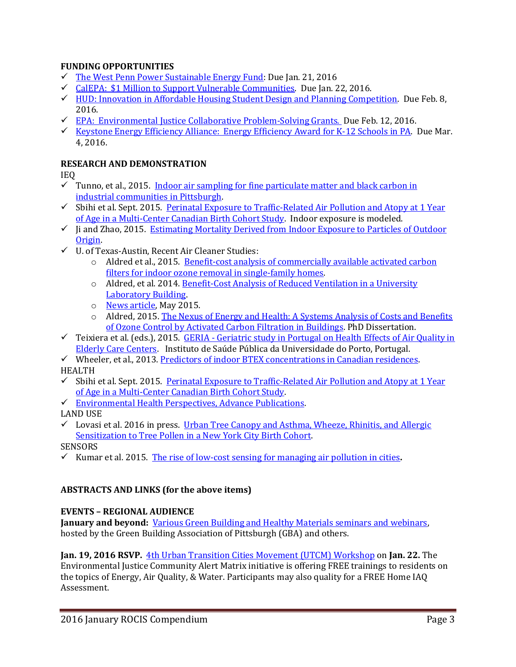# **FUNDING OPPORTUNITIES**

- $\checkmark$  [The West Penn Power Sustainable Energy Fund:](http://wppsef.org/) Due Jan. 21, 2016
- [CalEPA: \\$1 Million to Support Vulnerable Communities.](http://www.rampasthma.org/archives/13626) Due Jan. 22, 2016.
- $\checkmark$  HUD: [Innovation in Affordable Housing Student Design and](https://www.huduser.gov/portal/challenge/home.html) Planning Competition. Due Feb. 8, 2016.
- $\checkmark$  [EPA: Environmental Justice Collaborative Problem-Solving Grants. D](http://www3.epa.gov/environmentaljustice/grants/ej-cps-grants.html)ue Feb. 12, 2016.
- [Keystone Energy Efficiency Alliance: Energy Efficiency Award for K-12 Schools in PA.](http://energywisepa.org/schools-award) Due Mar. 4, 2016.

## **RESEARCH AND DEMONSTRATION**

IEQ

- $\checkmark$  Tunno, et al., 2015. Indoor air sampling for fine particulate matter and black carbon in [industrial communities in Pittsburgh.](http://www.sciencedirect.com/science/article/pii/S0048969715303193)
- $\checkmark$  Sbihi et al. Sept. 2015. Perinatal Exposure to Traffic-Related Air Pollution and Atopy at 1 Year [of Age in a Multi-Center Canadian Birth Cohort Study.](http://ehp.niehs.nih.gov/1408700/) Indoor exposure is modeled.
- $\checkmark$  li and Zhao, 2015. Estimating Mortality Derived from Indoor Exposure to Particles of Outdoor [Origin.](http://www.ncbi.nlm.nih.gov/pmc/articles/PMC4393180/)
- U. of Texas-Austin, Recent Air Cleaner Studies:
	- o Aldred et al., 2015. [Benefit-cost analysis of commercially available activated carbon](http://www.ncbi.nlm.nih.gov/pubmed/25952610)  filters for [indoor ozone removal in single-family homes.](http://www.ncbi.nlm.nih.gov/pubmed/25952610)
	- o Aldred, et al. 2014. [Benefit-Cost Analysis of Reduced Ventilation in a University](http://www.utexas.edu/sustainability/documents/0301_Aldred_Symposium2014.pdf)  [Laboratory Building.](http://www.utexas.edu/sustainability/documents/0301_Aldred_Symposium2014.pdf)
	- o [News article,](http://towertalk.utexas.edu/2015/05/26/final-thoughts-on-an-unusual-commencement-weekend/) May 2015.
	- o Aldred, 2015[. The Nexus of Energy and Health: A Systems Analysis of Costs and Benefits](https://www.google.com/url?q=https://repositories.lib.utexas.edu/bitstream/handle/2152/32147/ALDRED-DISSERTATION-2015.pdf%3Fsequence%3D1&sa=U&ved=0ahUKEwjK05KF0aDKAhWF9R4KHQuvCYgQFggHMAE&client=internal-uds-cse&usg=AFQjCNHwi8lBGMlrJz2Vi019ZC1H5nLIyQ)  [of Ozone Control by Activated Carbon Filtration in Buildings.](https://www.google.com/url?q=https://repositories.lib.utexas.edu/bitstream/handle/2152/32147/ALDRED-DISSERTATION-2015.pdf%3Fsequence%3D1&sa=U&ved=0ahUKEwjK05KF0aDKAhWF9R4KHQuvCYgQFggHMAE&client=internal-uds-cse&usg=AFQjCNHwi8lBGMlrJz2Vi019ZC1H5nLIyQ) PhD Dissertation.
- Teixiera et al. (eds.), 2015. GERIA [Geriatric study in Portugal on Health Effects of Air Quality in](http://geria.webnode.com/)  [Elderly Care Centers.](http://geria.webnode.com/) Instituto de Saúde Pública da Universidade do Porto, Portugal.

 $\checkmark$  Wheeler, et al., 2013[. Predictors of indoor BTEX concentrations in Canadian residences.](http://www.statcan.gc.ca/pub/82-003-x/2013005/article/11793-eng.htm) HEALTH

- $\checkmark$  Sbihi et al. Sept. 2015. Perinatal Exposure to Traffic-Related Air Pollution and Atopy at 1 Year [of Age in a Multi-Center Canadian Birth Cohort Study.](http://ehp.niehs.nih.gov/1408700/)
- $\checkmark$  Environmental Health Perspectives, Advance Publications.
- LAND USE
- $\checkmark$  Lovasi et al. 2016 in press. Urban Tree Canopy and Asthma, Wheeze, Rhinitis, and Allergic [Sensitization to Tree Pollen in a New York City Birth Cohort.](http://ehp.niehs.nih.gov/1205513/)

SENSORS

Kumar et al. 2015. [The rise of low-cost sensing for managing air pollution in cities](http://www.surrey.ac.uk/features/research-highlights-potential-low-cost-air-pollution-sensors).

## **ABSTRACTS AND LINKS (for the above items)**

## **EVENTS – REGIONAL AUDIENCE**

**January and beyond:** [Various Green Building and Healthy Materials seminars and webinars,](https://www.go-gba.org/events/2016-01/)  hosted by the Green Building Association of Pittsburgh (GBA) and others.

**Jan. 19, 2016 RSVP.** [4th Urban Transition Cities Movement \(UTCM\) Workshop](https://www.go-gba.org/events/4th-urban-transition-cities-movement-utcm-workshop/) on **Jan. 22.** The Environmental Justice Community Alert Matrix initiative is offering FREE trainings to residents on the topics of Energy, Air Quality, & Water. Participants may also quality for a FREE Home IAQ Assessment.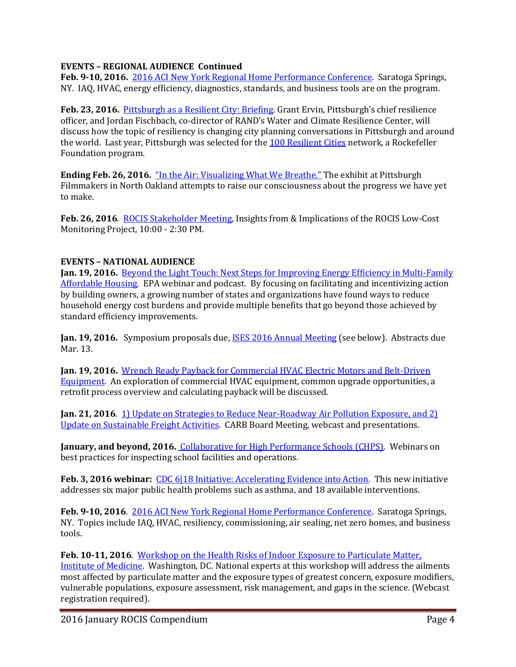# **EVENTS – REGIONAL AUDIENCE Continued**

**Feb. 9-10, 2016.** [2016 ACI New York Regional Home Performance Conference.](http://www.homeperformance.org/conference/2016-aci-new-york-regional-home-performance-conference) Saratoga Springs, NY. IAQ, HVAC, energy efficiency, diagnostics, standards, and business tools are on the program.

**Feb. 23, 2016.** [Pittsburgh as a Resilient City:](https://www.go-gba.org/events/breakfast-briefing-pittsburgh-as-a-resilient-city/) Briefing. Grant Ervin, Pittsburgh's chief resilience officer, and Jordan Fischbach, co-director of RAND's Water and Climate Resilience Center, will discuss how the topic of resiliency is changing city planning conversations in Pittsburgh and around the world. Last year, Pittsburgh was selected for the [100 Resilient Cities](https://www.google.com/url?sa=t&rct=j&q=&esrc=s&source=web&cd=1&cad=rja&uact=8&ved=0ahUKEwiFvM7p2KLKAhVCGh4KHZqYDdQQFggcMAA&url=http%3A%2F%2Fwww.100resilientcities.org%2F&usg=AFQjCNHVkLRzEw8z3sKUc1FEPyLYNUoxHg&bvm=bv.111396085,d.dmo) network, a Rockefeller Foundation program.

**Ending Feb. 26, 2016.** "In the A[ir: Visualizing What We Breathe.](http://filmmakers.pfpca.org/exhibitions/air-visualizing-what-we-breathe)" The exhibit at Pittsburgh Filmmakers in North Oakland attempts to raise our consciousness about the progress we have yet to make.

**Feb. 26, 2016**. [ROCIS Stakeholder Meeting,](http://rocis.org./) Insights from & Implications of the ROCIS Low-Cost Monitoring Project, 10:00 - 2:30 PM.

# **EVENTS – NATIONAL AUDIENCE**

**Jan. 19, 2016.** [Beyond the Light Touch: Next Steps for Improving Energy Efficiency in Multi-Family](http://www3.epa.gov/statelocalclimate/web-podcasts/forum-by-date.html)  [Affordable Housing.](http://www3.epa.gov/statelocalclimate/web-podcasts/forum-by-date.html) EPA webinar and podcast. By focusing on facilitating and incentivizing action by building owners, a growing number of states and organizations have found ways to reduce household energy cost burdens and provide multiple benefits that go beyond those achieved by standard efficiency improvements.

Jan. 19, 2016. Symposium proposals due, **ISES 2016 Annual Meeting** (see below). Abstracts due Mar. 13.

**Jan. 19, 2016.** [Wrench Ready Payback for Commercial HVAC Electric Motors and Belt-Driven](https://vts.inxpo.com/scripts/Server.nxp?LASCmd=AI:4;F:QS!10100&ShowKey=28988&AffiliateData=email3)  [Equipment.](https://vts.inxpo.com/scripts/Server.nxp?LASCmd=AI:4;F:QS!10100&ShowKey=28988&AffiliateData=email3) An exploration of commercial HVAC equipment, common upgrade opportunities, a retrofit process overview and calculating payback will be discussed.

**Jan. 21, 2016**. [1\) Update on Strategies to Reduce Near-Roadway Air Pollution Exposure, and 2\)](http://www.arb.ca.gov/board/ma/2016/ma012116.pdf)  [Update on Sustainable Freight Activities.](http://www.arb.ca.gov/board/ma/2016/ma012116.pdf) CARB Board Meeting, webcast and presentations.

**January, and beyond, 2016.** [Collaborative for High Performance Schools \(CHPS\).](http://www.chps.net/dev/Drupal/calendar) Webinars on best practices for inspecting school facilities and operations.

**Feb. 3, 2016 webinar:** [CDC 6|18 Initiative: Accelerating Evidence into Action.](http://www.cdc.gov/sixeighteen/) This new initiative addresses six major public health problems such as asthma, and 18 available interventions.

**Feb. 9-10, 2016**. [2016 ACI New York Regional Home Performance Conference.](http://www.homeperformance.org/conference/2016-aci-new-york-regional-home-performance-conference) Saratoga Springs, NY. Topics include IAQ, HVAC, resiliency, commissioning, air sealing, net zero homes, and business tools.

**Feb. 10-11, 2016**. [Workshop on the Health Risks of Indoor Exposure to Particulate Matter,](http://iom.nationalacademies.org/Activities/PublicHealth/Health-Risks-Indoor-Exposure-ParticulateMatter.aspx)  Institute [of Medicine.](http://iom.nationalacademies.org/Activities/PublicHealth/Health-Risks-Indoor-Exposure-ParticulateMatter.aspx) Washington, DC. National experts at this workshop will address the ailments most affected by particulate matter and the exposure types of greatest concern, exposure modifiers, vulnerable populations, exposure assessment, risk management, and gaps in the science. (Webcast registration required).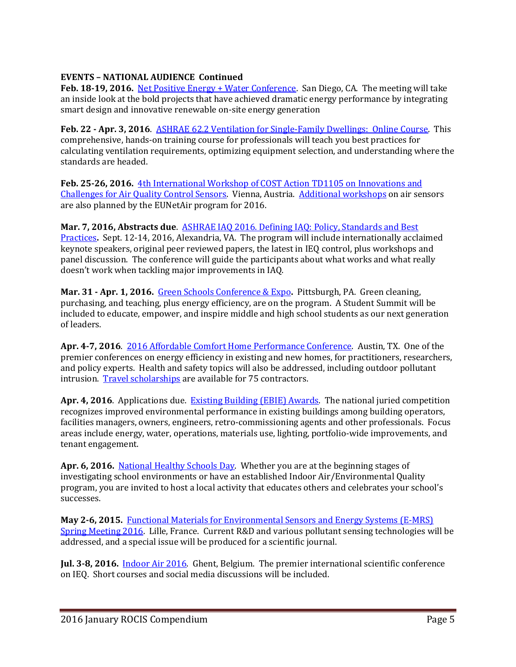# **EVENTS – NATIONAL AUDIENCE Continued**

Feb. 18-19, 2016. [Net Positive Energy + Water Conference.](http://living-future.us3.list-manage1.com/track/click?u=ae827ccb1dcf00c9de58fdb81&id=df912089ce&e=194d961907) San Diego, CA. The meeting will take an inside look at the bold projects that have achieved dramatic energy performance by integrating smart design and innovative renewable on-site energy generation

**Feb. 22 - Apr. 3, 2016**. [ASHRAE 62.2 Ventilation for Single-Family Dwellings: Online Course.](https://www.heatspring.com/courses/ashrae-62-2-ventilation-for-single-family-dwellings?aff_id=t2lyyg) This comprehensive, hands-on training course for professionals will teach you best practices for calculating ventilation requirements, optimizing equipment selection, and understanding where the standards are headed.

**Feb. 25-26, 2016.** [4th International Workshop of COST Action TD1105 on Innovations and](http://www.eunetair.it/cost/documents/paginanews.php?idnews=75)  [Challenges for Air Quality Control Sensors.](http://www.eunetair.it/cost/documents/paginanews.php?idnews=75) Vienna, Austria. [Additional workshops](http://www.eunetair.it/cost/documenti/COST-Action-TD1105_Upcoming-Events_2015-2016.pdf) on air sensors are also planned by the EUNetAir program for 2016.

**Mar. 7, 2016, Abstracts due**. [ASHRAE IAQ 2016. Defining IAQ: Policy, Standards and Best](https://www.ashrae.org/membership--conferences/conferences/ashrae-conferences/iaq-2016)  [Practices](https://www.ashrae.org/membership--conferences/conferences/ashrae-conferences/iaq-2016)**.** Sept. 12-14, 2016, Alexandria, VA. The program will include internationally acclaimed keynote speakers, original peer reviewed papers, the latest in IEQ control, plus workshops and panel discussion. The conference will guide the participants about what works and what really doesn't work when tackling major improvements in IAQ.

**Mar. 31 - Apr. 1, 2016.** [Green Schools Conference & Expo](http://greenschoolsconference.org/)**.** Pittsburgh, PA. Green cleaning, purchasing, and teaching, plus energy efficiency, are on the program. A Student Summit will be included to educate, empower, and inspire middle and high school students as our next generation of leaders.

**Apr. 4-7, 2016**. [2016 Affordable Comfort Home Performance Conference.](http://www.homeperformance.org/conference/2016-aci-national-home-performance-conference-trade-show) Austin, TX. One of the premier conferences on energy efficiency in existing and new homes, for practitioners, researchers, and policy experts. Health and safety topics will also be addressed, including outdoor pollutant intrusion. [Travel scholarships](http://www.homeperformance.org/conference-page/home-performance-contractor-scholarships) are available for 75 contractors.

**Apr. 4, 2016**. Applications due. [Existing Building \(EBIE\) Awards.](http://www.ebies.org/) The national juried competition recognizes improved environmental performance in existing buildings among building operators, facilities managers, owners, engineers, retro-commissioning agents and other professionals. Focus areas include energy, water, operations, materials use, lighting, portfolio-wide improvements, and tenant engagement.

**Apr. 6, 2016.** [National Healthy Schools Day.](https://www.facebook.com/pages/National-Healthy-Schools-Day/50984792299) Whether you are at the beginning stages of investigating school environments or have an established Indoor Air/Environmental Quality program, you are invited to host a local activity that educates others and celebrates your school's successes.

**May 2-6, 2015.** [Functional Materials for Environmental Sensors and Energy Systems \(E-MRS\)](http://www.eunetair.it/cost/newsroom/25-EMRS-2016_SYMPOSIUM-X_FLYER_V3.pdf)  [Spring Meeting 2016.](http://www.eunetair.it/cost/newsroom/25-EMRS-2016_SYMPOSIUM-X_FLYER_V3.pdf) Lille, France. Current R&D and various pollutant sensing technologies will be addressed, and a special issue will be produced for a scientific journal.

**Jul. 3-8, 2016.** [Indoor Air 2016.](http://mms.isiaq.org/Calendar/moreinfo.php?eventid=30972) Ghent, Belgium. The premier international scientific conference on IEQ. Short courses and social media discussions will be included.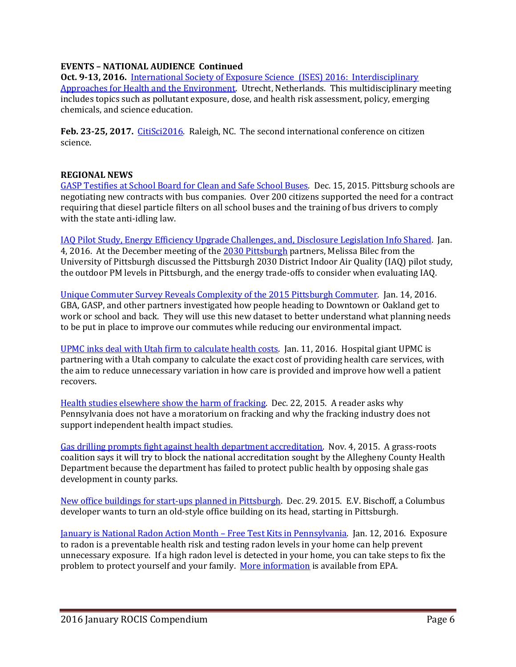# **EVENTS – NATIONAL AUDIENCE Continued**

**Oct. 9-13, 2016.** [International Society of Exposure Science \(ISES\) 2016: Interdisciplinary](http://ises2016.org/)  [Approaches for Health and the Environment.](http://ises2016.org/)Utrecht, Netherlands. This multidisciplinary meeting includes topics such as pollutant exposure, dose, and health risk assessment, policy, emerging chemicals, and science education.

**Feb. 23-25, 2017.** [CitiSci2016.](http://citizenscienceassociation.org/conference/citizen-science-2017/) Raleigh, NC. The second international conference on citizen science.

### **REGIONAL NEWS**

[GASP Testifies at School Board for Clean and Safe School Buses.](http://gasp-pgh.org/2015/12/15/school-buses-should-be-clean-and-safe/) Dec. 15, 2015. Pittsburg schools are negotiating new contracts with bus companies. Over 200 citizens supported the need for a contract requiring that diesel particle filters on all school buses and the training of bus drivers to comply with the state anti-idling law.

[IAQ Pilot Study, Energy Efficiency Upgrade Challenges,](https://www.go-gba.org/energy-efficiency-upgrade-challenges-disclosure-legislation-and-indoor-air-quality-pilot/) and, Disclosure Legislation Info Shared. Jan. 4, 2016. At the December meeting of the [2030 Pittsburgh](http://2030districts.org/pittsburgh) partners, Melissa Bilec from the University of Pittsburgh discussed the Pittsburgh 2030 District Indoor Air Quality (IAQ) pilot study, the outdoor PM levels in Pittsburgh, and the energy trade-offs to consider when evaluating IAQ.

[Unique Commuter Survey Reveals Complexity of the 2015 Pittsburgh Commuter.](https://www.go-gba.org/infographic-make-my-trip-count/) Jan. 14, 2016. GBA, GASP, and other partners investigated how people heading to Downtown or Oakland get to work or school and back. They will use this new dataset to better understand what planning needs to be put in place to improve our commutes while reducing our environmental impact.

[UPMC inks deal with Utah firm to calculate health costs.](http://www.post-gazette.com/business/healthcare-business/2016/01/11/UPMC-links-deal-with-Utah-firm-to-calcuate-health-costs/stories/201601110009) Jan. 11, 2016. Hospital giant UPMC is partnering with a Utah company to calculate the exact cost of providing health care services, with the aim to reduce unnecessary variation in how care is provided and improve how well a patient recovers.

Health studies elsewhere [show the harm of fracking.](http://www.post-gazette.com/opinion/letters/2015/12/22/Health-studies-elsewhere-nbsp-show-the-harm-of-fracking/stories/201512180099) Dec. 22, 2015. A reader asks why Pennsylvania does not have a moratorium on fracking and why the fracking industry does not support independent health impact studies.

[Gas drilling prompts fight against health department accreditation.](http://powersource.post-gazette.com/news/environment/2015/11/04/Gas-drilling-prompts-environmentalists-to-fight-health-department-accreditation/stories/201511040092) Nov. 4, 2015. A grass-roots coalition says it will try to block the national accreditation sought by the Allegheny County Health Department because the department has failed to protect public health by opposing shale gas development in county parks.

[New office buildings for start-ups planned in Pittsburgh.](http://www.post-gazette.com/business/development/2015/12/29/New-office-building-style-will-debut-in-Pittsburgh-E-V-Bishoff/stories/201512290058) Dec. 29. 2015. E.V. Bischoff, a Columbus developer wants to turn an old-style office building on its head, starting in Pittsburgh.

[January is National Radon Action Month](https://www.facebook.com/SWATPennsylvaniaRadon/?fref=nf) – Free Test Kits in Pennsylvania. Jan. 12, 2016. Exposure to radon is a preventable health risk and testing radon levels in your home can help prevent unnecessary exposure. If a high radon level is detected in your home, you can take steps to fix the problem to protect yourself and your family. [More information](http://www.epa.gov/radon/national-radon-action-month-consumer-information) is available from EPA.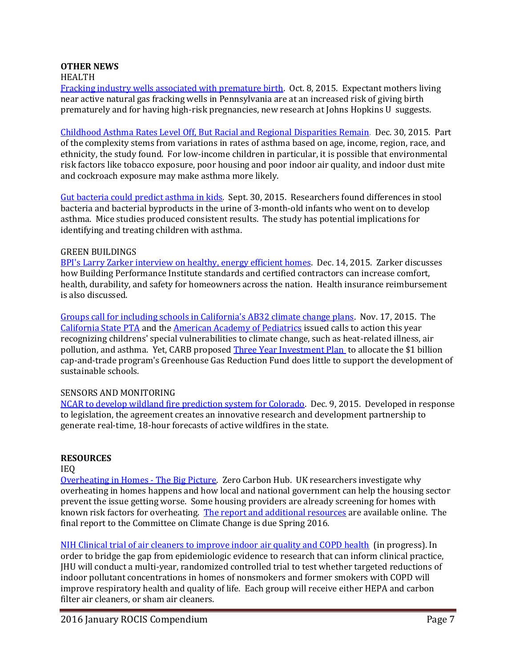## **OTHER NEWS**

#### HEALTH

[Fracking industry wells associated with premature birth.](http://www.nsf.gov/news/news_summ.jsp?cntn_id=136618&org=NSF&from=news) Oct. 8, 2015. Expectant mothers living near active natural gas fracking wells in Pennsylvania are at an increased risk of giving birth prematurely and for having high-risk pregnancies, new research at Johns Hopkins U suggests.

[Childhood Asthma Rates Level Off, But Racial and Regional Disparities Remain.](http://www.asthmacommunitynetwork.org/node/16234) Dec. 30, 2015. Part of the complexity stems from variations in rates of asthma based on age, income, region, race, and ethnicity, the study found. For low-income children in particular, it is possible that environmental risk factors like tobacco exposure, poor housing and poor indoor air quality, and indoor dust mite and cockroach exposure may make asthma more likely.

[Gut bacteria could predict asthma in kids.](http://www.sciencemag.org/news/2015/09/gut-bacteria-could-predict-asthma-kids) Sept. 30, 2015. Researchers found differences in stool bacteria and bacterial byproducts in the urine of 3-month-old infants who went on to develop asthma. Mice studies produced consistent results. The study has potential implications for identifying and treating children with asthma.

#### GREEN BUILDINGS

[BPI's Larry Zarker interview on healthy, energy efficient homes.](http://hi.iaq.net/h/i/179900124-healthy-indoors-show-bpis-larry-zarker-interview) Dec. 14, 2015. Zarker discusses how Building Performance Institute standards and certified contractors can increase comfort, health, durability, and safety for homeowners across the nation. Health insurance reimbursement is also discussed.

[Groups call for including schools in California's AB32 climate change plans.](http://www.greenschools.net/article.php?id=527) Nov. 17, 2015. The [California State PTA](http://capta.org/focus-areas/advocacy/resolutions/) and the [American Academy of Pediatrics](http://pediatrics.aappublications.org/content/early/2015/10/21/peds.2015-3232) issued calls to action this year recognizing childrens' special vulnerabilities to climate change, such as heat-related illness, air pollution, and asthma. Yet, CARB proposed [Three Year Investment Plan](http://www.arb.ca.gov/cc/capandtrade/auctionproceeds/investmentplan.htm) to allocate the \$1 billion cap-and-trade program's Greenhouse Gas Reduction Fund does little to support the development of sustainable schools.

### SENSORS AND MONITORING

[NCAR to develop wildland fire prediction system for Colorado.](https://www2.ucar.edu/atmosnews/news/18317/ncar-develop-wildland-fire-prediction-system-colorado) Dec. 9, 2015. Developed in response to legislation, the agreement creates an innovative research and development partnership to generate real-time, 18-hour forecasts of active wildfires in the state.

#### **RESOURCES**

### IEQ

[Overheating in Homes -](http://www.building4change.com/article.jsp?id=2665#.VpgCaVJ9TRJ) The Big Picture. Zero Carbon Hub. UK researchers investigate why overheating in homes happens and how local and national government can help the housing sector prevent the issue getting worse. Some housing providers are already screening for homes with known risk factors for overheating. [The report and additional resources](http://www.zerocarbonhub.org/current-projects/tackling-overheating-buildings) are available online. The final report to the Committee on Climate Change is due Spring 2016.

[NIH Clinical trial of air cleaners to improve indoor air quality and COPD health](http://grantome.com/grant/NIH/R01-ES022607-03) (in progress). In order to bridge the gap from epidemiologic evidence to research that can inform clinical practice, JHU will conduct a multi-year, randomized controlled trial to test whether targeted reductions of indoor pollutant concentrations in homes of nonsmokers and former smokers with COPD will improve respiratory health and quality of life. Each group will receive either HEPA and carbon filter air cleaners, or sham air cleaners.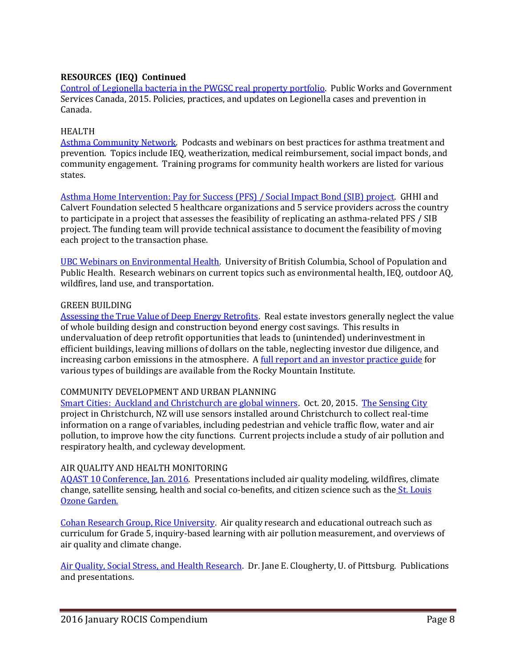# **RESOURCES (IEQ) Continued**

[Control of Legionella bacteria in the PWGSC real property portfolio.](http://www.tpsgc-pwgsc.gc.ca/biens-property/legionella-bacteria-eng.html) Public Works and Government Services Canada, 2015. Policies, practices, and updates on Legionella cases and prevention in Canada.

### HEALTH

[Asthma Community Network.](http://www.asthmacommunitynetwork.org/podcasts) Podcasts and webinars on best practices for asthma treatment and prevention. Topics include IEQ, weatherization, medical reimbursement, social impact bonds, and community engagement. Training programs for community health workers are listed for various states.

[Asthma Home Intervention: Pay for Success \(PFS\) / Social Impact Bond \(SIB\) project.](http://www.greenandhealthyhomes.org/get-help/pay-success) GHHI and Calvert Foundation selected 5 healthcare organizations and 5 service providers across the country to participate in a project that assesses the feasibility of replicating an asthma-related PFS / SIB project. The funding team will provide technical assistance to document the feasibility of moving each project to the transaction phase.

UBC Webinars [on Environmental Health.](https://www.youtube.com/user/UBCSPPH1/featured) University of British Columbia, School of Population and Public Health. Research webinars on current topics such as environmental health, IEQ, outdoor AQ, wildfires, land use, and transportation.

### GREEN BUILDING

[Assessing the True Value of Deep Energy Retrofits.](http://www.naiop.org/en/Magazine/2015/Winter-2015-2016/Finance/Assessing-the-True-Value-of-Deep-Energy-Retrofits.aspx) Real estate investors generally neglect the value of whole building design and construction beyond energy cost savings. This results in undervaluation of deep retrofit opportunities that leads to (unintended) underinvestment in efficient buildings, leaving millions of dollars on the table, neglecting investor due diligence, and increasing carbon emissions in the atmosphere. [A full report and an investor practice guide](http://www.rmi.org/deep_retrofit_value_guide_for_investors) for various types of buildings are available from the Rocky Mountain Institute.

#### COMMUNITY DEVELOPMENT AND URBAN PLANNING

[Smart Cities: Auckland and Christchurch are global winners.](https://netguide.co.nz/story/auckland-and-christchurch-global-smart-city-winners/) Oct. 20, 2015. [The Sensing City](http://sensingcity.org/) project in Christchurch, NZ will use sensors installed around Christchurch to collect real-time information on a range of variables, including pedestrian and vehicle traffic flow, water and air pollution, to improve how the city functions. Current projects include a study of air pollution and respiratory health, and cycleway development.

#### AIR QUALITY AND HEALTH MONITORING

[AQAST 10 Conference, Jan. 2016.](http://acmg.seas.harvard.edu/aqast/meetings/2016_jan/index.html#oral_tue) Presentations included air quality modeling, wildfires, climate change, satellite sensing, health and social co-benefits, and citizen science such as the [St. Louis](http://acmg.seas.harvard.edu/presentations/aqast/jan2016/Wed/PM/Fishman_de%20Foy_AQAST10_SLU%20-%20Jan%202016.pptx)  [Ozone Garden.](http://acmg.seas.harvard.edu/presentations/aqast/jan2016/Wed/PM/Fishman_de%20Foy_AQAST10_SLU%20-%20Jan%202016.pptx)

[Cohan Research Group, Rice University.](http://cohan.rice.edu/Content.aspx?id=60) Air quality research and educational outreach such as curriculum for Grade 5, inquiry-based learning with air pollution measurement, and overviews of air quality and climate change.

[Air Quality, Social Stress, and Health Research.](http://www.pitt.edu/~jcloughe/Publications.htm) Dr. Jane E. Clougherty, U. of Pittsburg. Publications and presentations.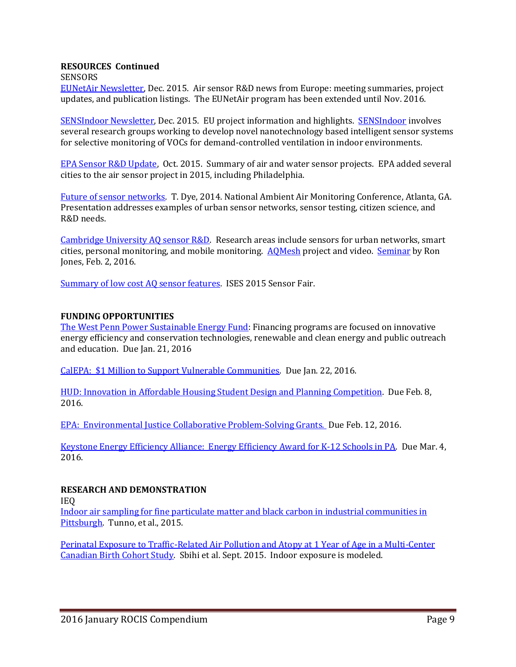### **RESOURCES Continued**

SENSORS

[EUNetAir Newsletter,](http://www.eunetair.it/) Dec. 2015. Air sensor R&D news from Europe: meeting summaries, project updates, and publication listings. The EUNetAir program has been extended until Nov. 2016.

[SENSIndoor Newsletter,](http://sensindoor.eu/fileadmin/sensindoor/downloads/SENSIndoor_Newsletter_Issue1.pdf) Dec. 2015. EU project information and highlights. [SENSIndoor](http://sensindoor.eu/) involves several research groups working to develop novel nanotechnology based intelligent sensor systems for selective monitoring of VOCs for demand-controlled ventilation in indoor environments.

[EPA Sensor R&D](http://semanticommunity.info/@api/deki/files/35992/RonWilliams10192015.pdf) Update, Oct. 2015. Summary of air and water sensor projects. EPA added several cities to the air sensor project in 2015, including Philadelphia.

[Future of sensor networks.](http://www3.epa.gov/ttn/amtic/files/2014conference/wedngamdye.pdf) T. Dye, 2014. National Ambient Air Monitoring Conference, Atlanta, GA. Presentation addresses examples of urban sensor networks, sensor testing, citizen science, and R&D needs.

Cambridge University AQ sensor  $R&D$ . Research areas include sensors for urban networks, smart cities, personal monitoring, and mobile monitoring. [AQMesh](http://www.aqmesh.com/category/updates/) project and video. [Seminar](http://www.ch.cam.ac.uk/talk/63376) by Ron Jones, Feb. 2, 2016.

[Summary of low cost AQ sensor features.](http://www.ises2015.org/Images/Sensor-Fair-participants.pdf) ISES 2015 Sensor Fair.

### **FUNDING OPPORTUNITIES**

[The West Penn Power Sustainable Energy Fund:](http://wppsef.org/) Financing programs are focused on innovative energy efficiency and conservation technologies, renewable and clean energy and public outreach and education. Due Jan. 21, 2016

[CalEPA: \\$1 Million to Support Vulnerable Communities.](http://www.rampasthma.org/archives/13626) Due Jan. 22, 2016.

HUD: [Innovation in Affordable Housing Student Design and](https://www.huduser.gov/portal/challenge/home.html) Planning Competition. Due Feb. 8, 2016.

[EPA: Environmental Justice Collaborative Problem-Solving Grants.](http://www.grants.gov/web/grants/search-grants.html?keywords=EPA-OECA-OEJ-16-01) Due Feb. 12, 2016.

[Keystone Energy Efficiency Alliance: Energy Efficiency Award for K-12 Schools in PA.](http://energywisepa.org/schools-award) Due Mar. 4, 2016.

## **RESEARCH AND DEMONSTRATION**

IEQ

[Indoor air sampling for fine particulate matter and black carbon in industrial communities in](http://www.sciencedirect.com/science/article/pii/S0048969715303193)  [Pittsburgh.](http://www.sciencedirect.com/science/article/pii/S0048969715303193) Tunno, et al., 2015.

[Perinatal Exposure to Traffic-Related Air Pollution and Atopy at 1 Year of Age in a Multi-Center](http://ehp.niehs.nih.gov/1408700/)  [Canadian Birth Cohort Study.](http://ehp.niehs.nih.gov/1408700/) Sbihi et al. Sept. 2015. Indoor exposure is modeled.